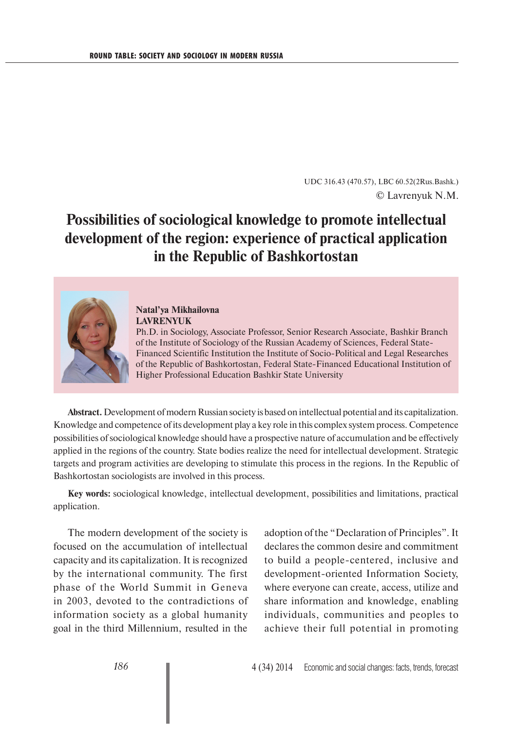UDC 316.43 (470.57), LBC 60.52(2Rus.Bashk.) © Lavrenyuk N.M.

## **Possibilities of sociological knowledge to promote intellectual development of the region: experience of practical application in the Republic of Bashkortostan**



## **Natal'ya Mikhailovna LAVRENYUK**

Ph.D. in Sociology, Associate Professor, Senior Research Associate, Bashkir Branch of the Institute of Sociology of the Russian Academy of Sciences, Federal State-Financed Scientific Institution the Institute of Socio-Political and Legal Researches of the Republic of Bashkortostan, Federal State-Financed Educational Institution of Higher Professional Education Bashkir State University

**Abstract.** Development of modern Russian society is based on intellectual potential and its capitalization. Knowledge and competence of its development play a key role in this complex system process. Competence possibilities of sociological knowledge should have a prospective nature of accumulation and be effectively applied in the regions of the country. State bodies realize the need for intellectual development. Strategic targets and program activities are developing to stimulate this process in the regions. In the Republic of Bashkortostan sociologists are involved in this process.

**Key words:** sociological knowledge, intellectual development, possibilities and limitations, practical application.

The modern development of the society is focused on the accumulation of intellectual capacity and its capitalization. It is recognized by the international community. The first phase of the World Summit in Geneva in 2003, devoted to the contradictions of information society as a global humanity goal in the third Millennium, resulted in the

adoption of the "Declaration of Principles". It declares the common desire and commitment to build a people-centered, inclusive and development-oriented Information Society, where everyone can create, access, utilize and share information and knowledge, enabling individuals, communities and peoples to achieve their full potential in promoting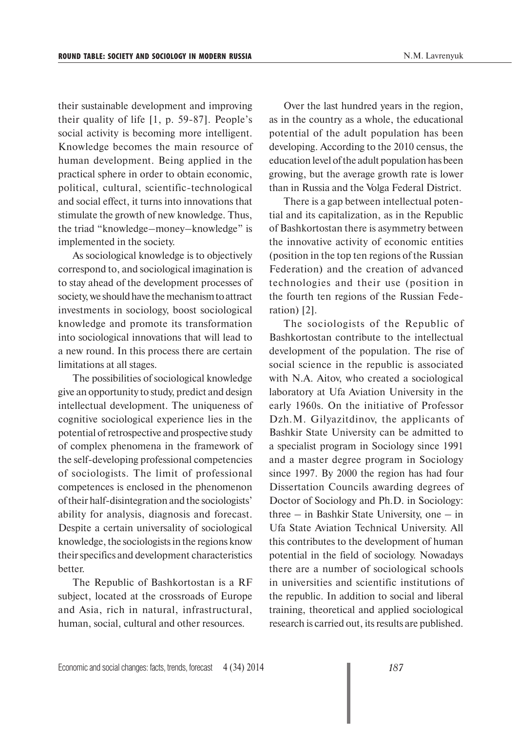their sustainable development and improving their quality of life [1, p. 59-87]. People's social activity is becoming more intelligent. Knowledge becomes the main resource of human development. Being applied in the practical sphere in order to obtain economic, political, cultural, scientific-technological and social effect, it turns into innovations that stimulate the growth of new knowledge. Thus, the triad "knowledge–money–knowledge" is implemented in the society.

As sociological knowledge is to objectively correspond to, and sociological imagination is to stay ahead of the development processes of society, we should have the mechanism to attract investments in sociology, boost sociological knowledge and promote its transformation into sociological innovations that will lead to a new round. In this process there are certain limitations at all stages.

The possibilities of sociological knowledge give an opportunity to study, predict and design intellectual development. The uniqueness of cognitive sociological experience lies in the potential of retrospective and prospective study of complex phenomena in the framework of the self-developing professional competencies of sociologists. The limit of professional competences is enclosed in the phenomenon of their half-disintegration and the sociologists' ability for analysis, diagnosis and forecast. Despite a certain universality of sociological knowledge, the sociologists in the regions know their specifics and development characteristics better.

The Republic of Bashkortostan is a RF subject, located at the crossroads of Europe and Asia, rich in natural, infrastructural, human, social, cultural and other resources.

Over the last hundred years in the region, as in the country as a whole, the educational potential of the adult population has been developing. According to the 2010 census, the education level of the adult population has been growing, but the average growth rate is lower than in Russia and the Volga Federal District.

There is a gap between intellectual potential and its capitalization, as in the Republic of Bashkortostan there is asymmetry between the innovative activity of economic entities (position in the top ten regions of the Russian Federation) and the creation of advanced technologies and their use (position in the fourth ten regions of the Russian Federation) [2].

The sociologists of the Republic of Bashkortostan contribute to the intellectual development of the population. The rise of social science in the republic is associated with N.A. Aitov, who created a sociological laboratory at Ufa Aviation University in the early 1960s. On the initiative of Professor Dzh.M. Gilyazitdinov, the applicants of Bashkir State University can be admitted to a specialist program in Sociology since 1991 and a master degree program in Sociology since 1997. By 2000 the region has had four Dissertation Councils awarding degrees of Doctor of Sociology and Ph.D. in Sociology: three – in Bashkir State University, one – in Ufa State Aviation Technical University. All this contributes to the development of human potential in the field of sociology. Nowadays there are a number of sociological schools in universities and scientific institutions of the republic. In addition to social and liberal training, theoretical and applied sociological research is carried out, its results are published.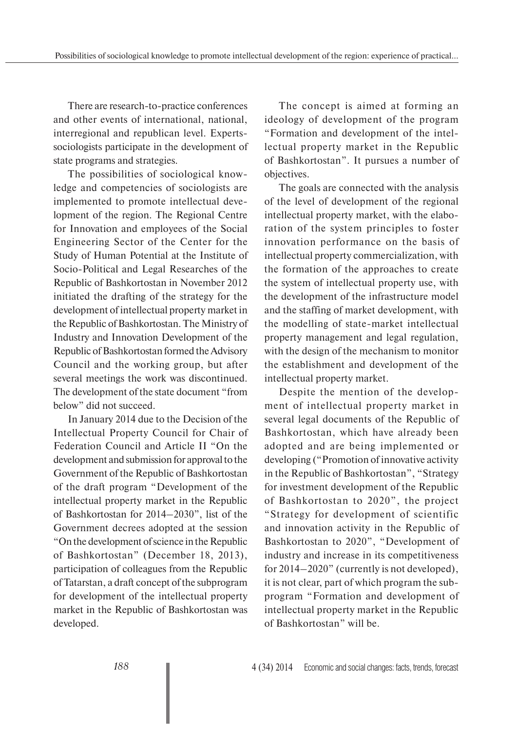There are research-to-practice conferences and other events of international, national, interregional and republican level. Expertssociologists participate in the development of state programs and strategies.

The possibilities of sociological knowledge and competencies of sociologists are implemented to promote intellectual development of the region. The Regional Centre for Innovation and employees of the Social Engineering Sector of the Center for the Study of Human Potential at the Institute of Socio-Political and Legal Researches of the Republic of Bashkortostan in November 2012 initiated the drafting of the strategy for the development of intellectual property market in the Republic of Bashkortostan. The Ministry of Industry and Innovation Development of the Republic of Bashkortostan formed the Advisory Council and the working group, but after several meetings the work was discontinued. The development of the state document "from below" did not succeed.

In January 2014 due to the Decision of the Intellectual Property Council for Chair of Federation Council and Article II "On the development and submission for approval to the Government of the Republic of Bashkortostan of the draft program "Development of the intellectual property market in the Republic of Bashkortostan for 2014–2030", list of the Government decrees adopted at the session "On the development of science in the Republic of Bashkortostan" (December 18, 2013), participation of colleagues from the Republic of Tatarstan, a draft concept of the subprogram for development of the intellectual property market in the Republic of Bashkortostan was developed.

The concept is aimed at forming an ideology of development of the program "Formation and development of the intellectual property market in the Republic of Bashkortostan". It pursues a number of objectives.

The goals are connected with the analysis of the level of development of the regional intellectual property market, with the elaboration of the system principles to foster innovation performance on the basis of intellectual property commercialization, with the formation of the approaches to create the system of intellectual property use, with the development of the infrastructure model and the staffing of market development, with the modelling of state-market intellectual property management and legal regulation, with the design of the mechanism to monitor the establishment and development of the intellectual property market.

Despite the mention of the development of intellectual property market in several legal documents of the Republic of Bashkortostan, which have already been adopted and are being implemented or developing ("Promotion of innovative activity in the Republic of Bashkortostan", "Strategy for investment development of the Republic of Bashkortostan to 2020", the project "Strategy for development of scientific and innovation activity in the Republic of Bashkortostan to 2020", "Development of industry and increase in its competitiveness for 2014–2020" (currently is not developed), it is not clear, part of which program the subprogram "Formation and development of intellectual property market in the Republic of Bashkortostan" will be.